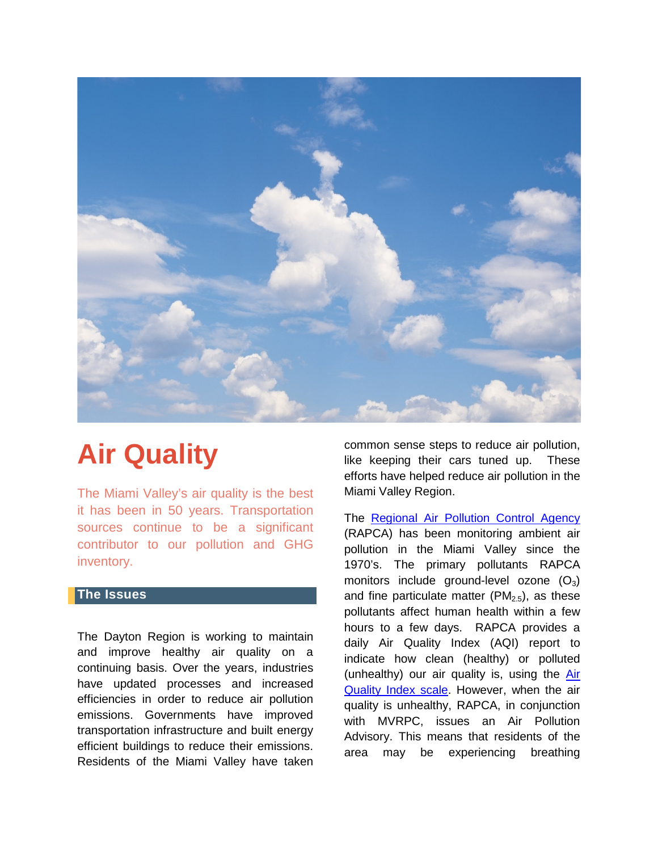

# **Air Quality**

The Miami Valley's air quality is the best it has been in 50 years. Transportation sources continue to be a significant contributor to our pollution and GHG inventory.

# **The Issues**

The Dayton Region is working to maintain and improve healthy air quality on a continuing basis. Over the years, industries have updated processes and increased efficiencies in order to reduce air pollution emissions. Governments have improved transportation infrastructure and built energy efficient buildings to reduce their emissions. Residents of the Miami Valley have taken common sense steps to reduce air pollution, like keeping their cars tuned up. These efforts have helped reduce air pollution in the Miami Valley Region.

The [Regional Air Pollution Control Agency](https://www.rapca.org/) (RAPCA) has been monitoring ambient air pollution in the Miami Valley since the 1970's. The primary pollutants RAPCA monitors include ground-level ozone  $(O_3)$ and fine particulate matter  $(PM_{2.5})$ , as these pollutants affect human health within a few hours to a few days. RAPCA provides a daily Air Quality Index (AQI) report to indicate how clean (healthy) or polluted (unhealthy) our air quality is, using the [Air](https://airnow.gov/index.cfm?action=aqibasics.aqi)  [Quality Index scale.](https://airnow.gov/index.cfm?action=aqibasics.aqi) However, when the air quality is unhealthy, RAPCA, in conjunction with MVRPC, issues an Air Pollution Advisory. This means that residents of the area may be experiencing breathing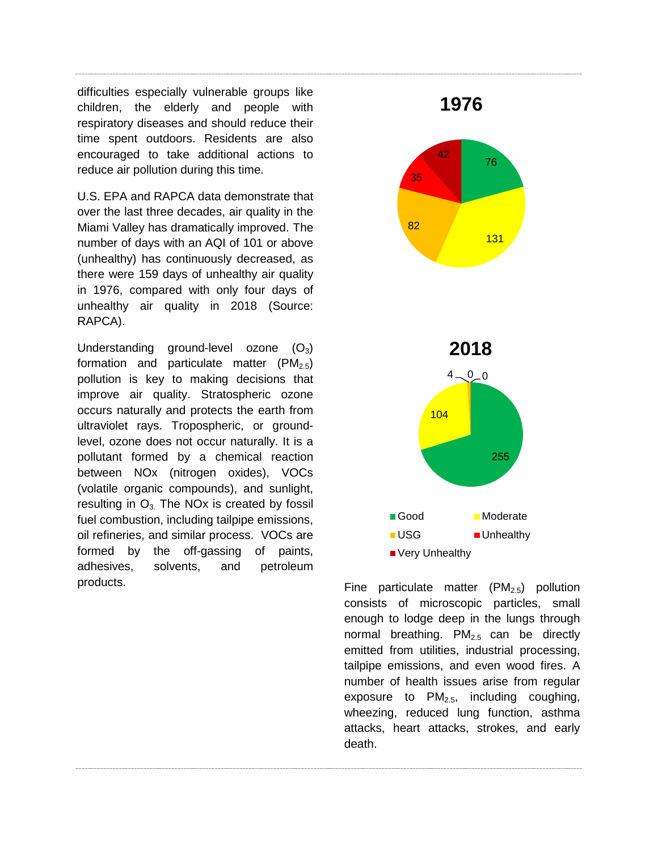difficulties especially vulnerable groups like children, the elderly and people with respiratory diseases and should reduce their time spent outdoors. Residents are also encouraged to take additional actions to reduce air pollution during this time.

U.S. EPA and RAPCA data demonstrate that over the last three decades, air quality in the Miami Valley has dramatically improved. The number of days with an AQI of 101 or above (unhealthy) has continuously decreased, as there were 159 days of unhealthy air quality in 1976, compared with only four days of unhealthy air quality in 2018 (Source: RAPCA).

Understanding ground-level ozone  $(O_3)$ formation and particulate matter  $(PM_{2.5})$ pollution is key to making decisions that improve air quality. Stratospheric ozone occurs naturally and protects the earth from ultraviolet rays. Tropospheric, or groundlevel, ozone does not occur naturally. It is a pollutant formed by a chemical reaction between NOx (nitrogen oxides), VOCs (volatile organic compounds), and sunlight, resulting in  $O_3$ . The NOx is created by fossil fuel combustion, including tailpipe emissions, oil refineries, and similar process. VOCs are formed by the off-gassing of paints, adhesives, solvents, and petroleum products. The particulate matter  $(PM_{2.5})$  pollution



consists of microscopic particles, small enough to lodge deep in the lungs through normal breathing.  $PM_{2.5}$  can be directly emitted from utilities, industrial processing, tailpipe emissions, and even wood fires. A number of health issues arise from regular exposure to  $PM<sub>2.5</sub>$ , including coughing, wheezing, reduced lung function, asthma attacks, heart attacks, strokes, and early death.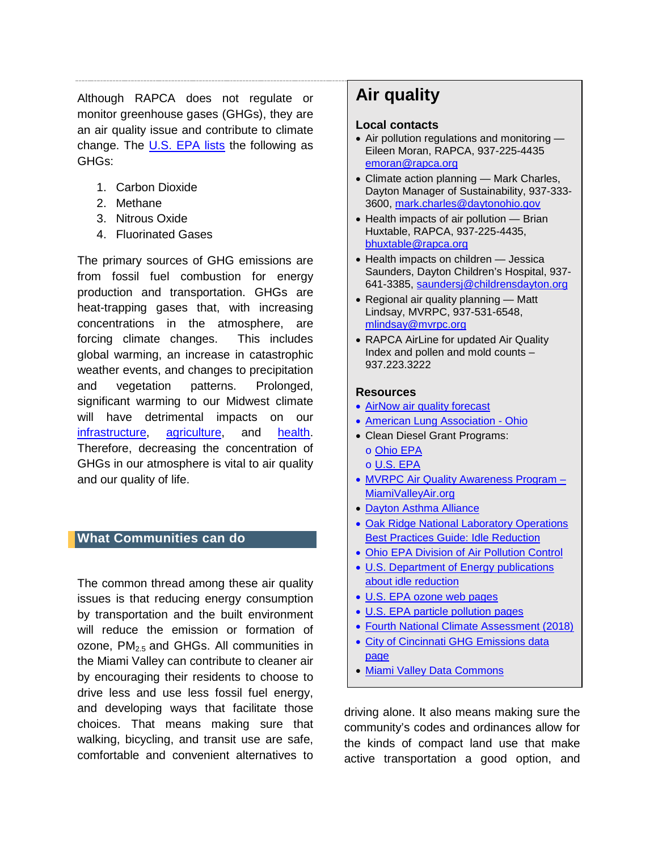Although RAPCA does not regulate or monitor greenhouse gases (GHGs), they are an air quality issue and contribute to climate change. The [U.S. EPA lists](https://www.epa.gov/ghgemissions/overview-greenhouse-gases) the following as GHGs:

- 1. Carbon Dioxide
- 2. Methane
- 3. Nitrous Oxide
- 4. Fluorinated Gases

The primary sources of GHG emissions are from fossil fuel combustion for energy production and transportation. GHGs are heat-trapping gases that, with increasing concentrations in the atmosphere, are forcing climate changes. This includes global warming, an increase in catastrophic weather events, and changes to precipitation and vegetation patterns. Prolonged, significant warming to our Midwest climate will have detrimental impacts on our [infrastructure,](https://nca2018.globalchange.gov/#sf-11) [agriculture,](https://nca2018.globalchange.gov/#sf-10) and [health.](https://nca2018.globalchange.gov/#sf-7) Therefore, decreasing the concentration of GHGs in our atmosphere is vital to air quality and our quality of life.

## **What Communities can do**

The common thread among these air quality issues is that reducing energy consumption by transportation and the built environment will reduce the emission or formation of ozone,  $PM<sub>2.5</sub>$  and GHGs. All communities in the Miami Valley can contribute to cleaner air by encouraging their residents to choose to drive less and use less fossil fuel energy, and developing ways that facilitate those choices. That means making sure that walking, bicycling, and transit use are safe, comfortable and convenient alternatives to

# **Air quality**

#### **Local contacts**

- Air pollution regulations and monitoring Eileen Moran, RAPCA, 937-225-4435 [emoran@rapca.org](mailto:emoran@rapca.org)
- Climate action planning Mark Charles, Dayton Manager of Sustainability, 937-333- 3600, [mark.charles@daytonohio.gov](mailto:mark.charles@daytonohio.gov)
- Health impacts of air pollution Brian Huxtable, RAPCA, 937-225-4435, [bhuxtable@rapca.org](mailto:bhuxtable@rapca.org)
- Health impacts on children Jessica Saunders, Dayton Children's Hospital, 937- 641-3385, [saundersj@childrensdayton.org](mailto:saundersj@childrensdayton.org)
- Regional air quality planning Matt Lindsay, MVRPC, 937-531-6548, [mlindsay@mvrpc.org](mailto:mlindsay@mvrpc.org)
- RAPCA AirLine for updated Air Quality Index and pollen and mold counts – 937.223.3222

#### **Resources**

- [AirNow air quality forecast](https://airnow.gov/index.cfm?action=airnow.local_city&zipcode=45402&submit=Go)
- [American Lung Association -](https://www.lung.org/about-us/local-associations/ohio.html) Ohio
- Clean Diesel Grant Programs: o [Ohio EPA](https://www.epa.state.oh.us/oee/#131364252-diesel-emission-reduction-grants) o [U.S. EPA](https://www.epa.gov/cleandiesel/learn-about-clean-diesel)
- [MVRPC Air Quality Awareness Program](https://www.mvrpc.org/environment/air-quality/miami-valley-air) MiamiValleyAir.org
- [Dayton Asthma Alliance](https://www.childrensdayton.org/community/advocacy-and-outreach/programs/dayton-asthma-alliance)
- [Oak Ridge National Laboratory Operations](https://www.bnl.gov/earthday/docs/ORNL-Idle-Reduction-Guide.pdf)  [Best Practices Guide: Idle Reduction](https://www.bnl.gov/earthday/docs/ORNL-Idle-Reduction-Guide.pdf)
- [Ohio EPA Division of Air Pollution Control](https://www.epa.state.oh.us/dapc/)
- [U.S. Department of Energy publications](https://www.energy.gov/eere/vehicles/idle-reduction)  [about idle reduction](https://www.energy.gov/eere/vehicles/idle-reduction)
- [U.S. EPA ozone web pages](https://www.epa.gov/ground-level-ozone-pollution)
- [U.S. EPA particle pollution pages](https://www.epa.gov/pm-pollution)
- [Fourth National Climate Assessment \(2018\)](https://nca2018.globalchange.gov/)
- [City of Cincinnati GHG Emissions data](https://insights.cincinnati-oh.gov/stories/s/Greenhouse-Gas/d49x-hx36/)  [page](https://insights.cincinnati-oh.gov/stories/s/Greenhouse-Gas/d49x-hx36/)
- [Miami Valley Data Commons](https://www.mvrpc.org/data-mapping/miami-valley-data-commons)

driving alone. It also means making sure the community's codes and ordinances allow for the kinds of compact land use that make active transportation a good option, and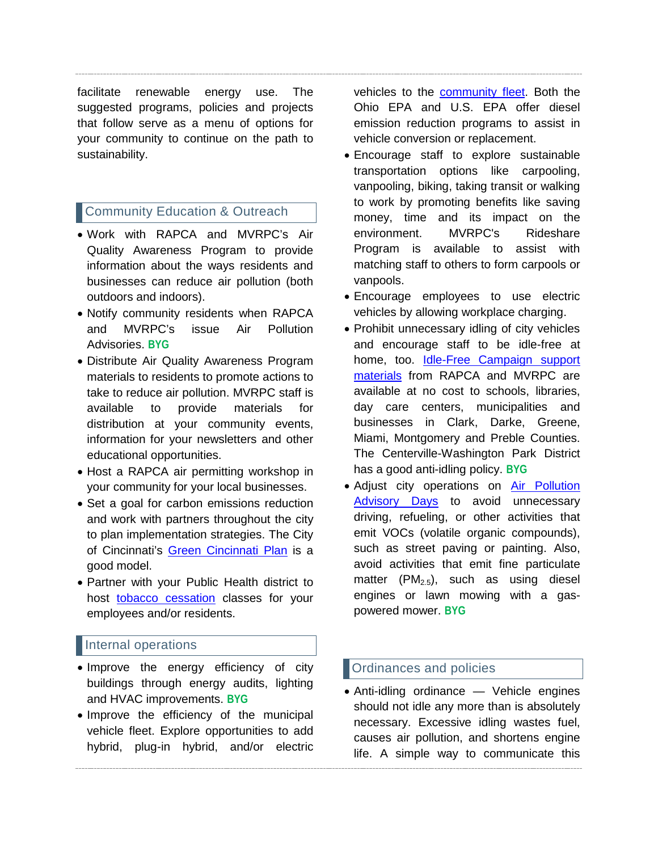facilitate renewable energy use. The suggested programs, policies and projects that follow serve as a menu of options for your community to continue on the path to sustainability.

# **Community Education & Outreach**

- Work with RAPCA and MVRPC's Air Quality Awareness Program to provide information about the ways residents and businesses can reduce air pollution (both outdoors and indoors).
- Notify community residents when RAPCA and MVRPC's issue Air Pollution Advisories. **BYG**
- Distribute Air Quality Awareness Program materials to residents to promote actions to take to reduce air pollution. MVRPC staff is available to provide materials for distribution at your community events, information for your newsletters and other educational opportunities.
- Host a RAPCA air permitting workshop in your community for your local businesses.
- Set a goal for carbon emissions reduction and work with partners throughout the city to plan implementation strategies. The City of Cincinnati's [Green Cincinnati](https://www.cincinnati-oh.gov/oes/citywide-efforts/climate-protection-green-cincinnati-plan/) Plan is a good model.
- Partner with your Public Health district to host [tobacco cessation](https://odh.ohio.gov/wps/portal/gov/odh/know-our-programs/tobacco-use-prevention-and-cessation/cessation/) classes for your employees and/or residents.

## Internal operations

- Improve the energy efficiency of city buildings through energy audits, lighting and HVAC improvements. **BYG**
- Improve the efficiency of the municipal vehicle fleet. Explore opportunities to add hybrid, plug-in hybrid, and/or electric

vehicles to the [community fleet.](https://www.cleanfuelsohio.org/fleet-services) Both the Ohio EPA and U.S. EPA offer diesel emission reduction programs to assist in vehicle conversion or replacement.

- Encourage staff to explore sustainable transportation options like carpooling, vanpooling, biking, taking transit or walking to work by promoting benefits like saving money, time and its impact on the environment. MVRPC's Rideshare Program is available to assist with matching staff to others to form carpools or vanpools.
- Encourage employees to use electric vehicles by allowing workplace charging.
- Prohibit unnecessary idling of city vehicles and encourage staff to be idle-free at home, too. [Idle-Free Campaign support](https://www.rapca.org/programs/be-idle-free-campaign)  [materials](https://www.rapca.org/programs/be-idle-free-campaign) from RAPCA and MVRPC are available at no cost to schools, libraries, day care centers, municipalities and businesses in Clark, Darke, Greene, Miami, Montgomery and Preble Counties. The Centerville-Washington Park District has a good anti-idling policy. **BYG**
- Adjust city operations on [Air Pollution](https://www.mvrpc.org/environment/air-quality/miami-valley-air)  [Advisory Days](https://www.mvrpc.org/environment/air-quality/miami-valley-air) to avoid unnecessary driving, refueling, or other activities that emit VOCs (volatile organic compounds), such as street paving or painting. Also, avoid activities that emit fine particulate matter  $(PM_{2.5})$ , such as using diesel engines or lawn mowing with a gaspowered mower. **BYG**

# Ordinances and policies

• Anti-idling ordinance — Vehicle engines should not idle any more than is absolutely necessary. Excessive idling wastes fuel, causes air pollution, and shortens engine life. A simple way to communicate this